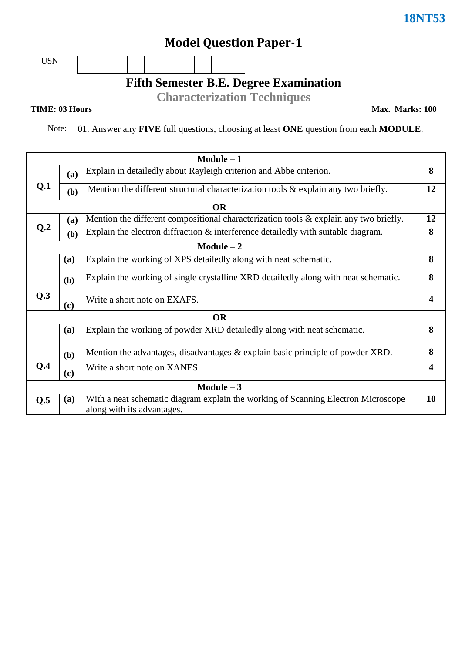# **Model Question Paper-1**

USN

### **Fifth Semester B.E. Degree Examination**

**Characterization Techniques**

#### **TIME: 03 Hours**

**Max. Marks: 100**

Note: 01. Answer any **FIVE** full questions, choosing at least **ONE** question from each **MODULE**.

|                 |                                                                           | $Module - 1$                                                                                                    |                         |  |
|-----------------|---------------------------------------------------------------------------|-----------------------------------------------------------------------------------------------------------------|-------------------------|--|
|                 | Explain in detailedly about Rayleigh criterion and Abbe criterion.<br>(a) |                                                                                                                 |                         |  |
| Q.1             | (b)                                                                       | Mention the different structural characterization tools & explain any two briefly.                              | 12                      |  |
|                 |                                                                           | <b>OR</b>                                                                                                       |                         |  |
|                 | (a)                                                                       | Mention the different compositional characterization tools $\&$ explain any two briefly.                        |                         |  |
| Q <sub>.2</sub> | (b)                                                                       | Explain the electron diffraction & interference detailedly with suitable diagram.                               | 8                       |  |
|                 |                                                                           | $Module - 2$                                                                                                    |                         |  |
|                 | (a)                                                                       | Explain the working of XPS detailedly along with neat schematic.                                                | 8                       |  |
|                 | (b)                                                                       | Explain the working of single crystalline XRD detailedly along with neat schematic.                             | 8                       |  |
| Q.3             | (c)                                                                       | Write a short note on EXAFS.                                                                                    | $\overline{\mathbf{4}}$ |  |
|                 |                                                                           | <b>OR</b>                                                                                                       |                         |  |
|                 | (a)                                                                       | Explain the working of powder XRD detailedly along with neat schematic.                                         | 8                       |  |
|                 | (b)                                                                       | Mention the advantages, disadvantages & explain basic principle of powder XRD.                                  | 8                       |  |
| Q.4             | (c)                                                                       | Write a short note on XANES.                                                                                    | $\overline{\mathbf{4}}$ |  |
| Module $-3$     |                                                                           |                                                                                                                 |                         |  |
| Q.5             | (a)                                                                       | With a neat schematic diagram explain the working of Scanning Electron Microscope<br>along with its advantages. | <b>10</b>               |  |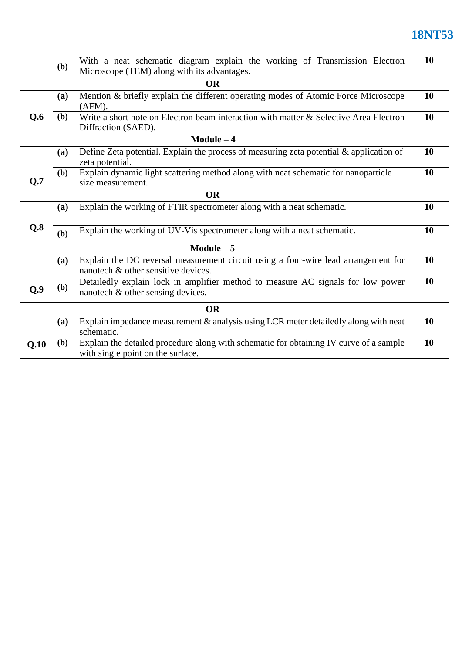|           | (b)          | With a neat schematic diagram explain the working of Transmission Electron<br>Microscope (TEM) along with its advantages.   | 10 |  |
|-----------|--------------|-----------------------------------------------------------------------------------------------------------------------------|----|--|
|           |              | <b>OR</b>                                                                                                                   |    |  |
|           | <b>(a)</b>   | Mention & briefly explain the different operating modes of Atomic Force Microscope<br>(AFM).                                | 10 |  |
| Q.6       | (b)          | Write a short note on Electron beam interaction with matter & Selective Area Electron<br>Diffraction (SAED).                | 10 |  |
|           |              | $Module - 4$                                                                                                                |    |  |
|           | (a)          | Define Zeta potential. Explain the process of measuring zeta potential & application of<br>zeta potential.                  | 10 |  |
| Q.7       | ( <b>b</b> ) | Explain dynamic light scattering method along with neat schematic for nanoparticle<br>size measurement.                     | 10 |  |
| <b>OR</b> |              |                                                                                                                             |    |  |
|           | (a)          | Explain the working of FTIR spectrometer along with a neat schematic.                                                       | 10 |  |
| Q.8       | (b)          | Explain the working of UV-Vis spectrometer along with a neat schematic.                                                     | 10 |  |
|           |              | $Module - 5$                                                                                                                |    |  |
|           | (a)          | Explain the DC reversal measurement circuit using a four-wire lead arrangement for<br>nanotech & other sensitive devices.   | 10 |  |
| Q.9       | (b)          | Detailedly explain lock in amplifier method to measure AC signals for low power<br>nanotech & other sensing devices.        | 10 |  |
| <b>OR</b> |              |                                                                                                                             |    |  |
|           | <b>(a)</b>   | Explain impedance measurement & analysis using LCR meter detailedly along with neat<br>schematic.                           | 10 |  |
| Q.10      | <b>(b)</b>   | Explain the detailed procedure along with schematic for obtaining IV curve of a sample<br>with single point on the surface. | 10 |  |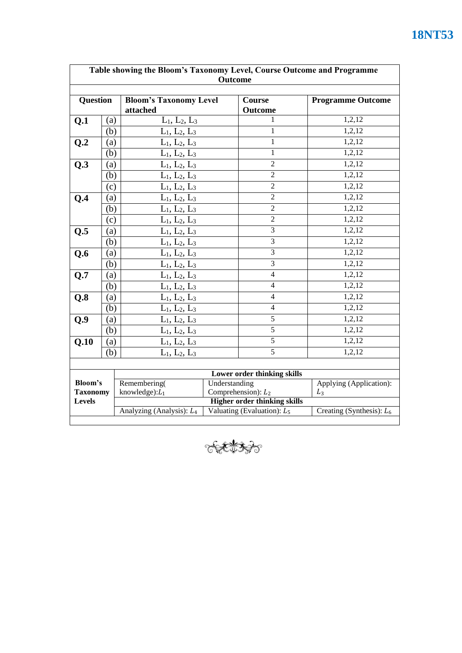|                                                                        | <b>18NT53</b> |
|------------------------------------------------------------------------|---------------|
|                                                                        |               |
| Table showing the Bloom's Taxonomy Level, Course Outcome and Programme |               |
| Outcome                                                                |               |
|                                                                        |               |

| <b>Outcome</b>                   |     |                                                                                            |                               |                          |                             |  |
|----------------------------------|-----|--------------------------------------------------------------------------------------------|-------------------------------|--------------------------|-----------------------------|--|
| <b>Question</b>                  |     | <b>Bloom's Taxonomy Level</b><br>attached                                                  |                               | <b>Course</b><br>Outcome | <b>Programme Outcome</b>    |  |
| Q.1                              | (a) | $L_1, L_2, L_3$                                                                            |                               | 1                        | 1,2,12                      |  |
|                                  | (b) | $L_1, L_2, L_3$                                                                            |                               | $\mathbf{1}$             | 1,2,12                      |  |
| Q.2                              | (a) | $L_1, L_2, L_3$                                                                            |                               | $\mathbf{1}$             | 1,2,12                      |  |
|                                  | (b) | $L_1, L_2, L_3$                                                                            |                               | $\mathbf{1}$             | 1,2,12                      |  |
| Q.3                              | (a) | $L_1, L_2, L_3$                                                                            |                               | $\overline{2}$           | 1,2,12                      |  |
|                                  | (b) | $L_1, L_2, L_3$                                                                            |                               | $\overline{2}$           | 1,2,12                      |  |
|                                  | (c) | $L_1, L_2, L_3$                                                                            |                               | $\overline{2}$           | 1,2,12                      |  |
| Q.4                              | (a) | $L_1, L_2, L_3$                                                                            |                               | $\overline{2}$           | 1,2,12                      |  |
|                                  | (b) | $L_1, L_2, L_3$                                                                            |                               | $\overline{2}$           | 1,2,12                      |  |
|                                  | (c) | $L_1, L_2, L_3$                                                                            |                               | $\overline{2}$           | 1,2,12                      |  |
| Q.5                              | (a) | $L_1, L_2, L_3$                                                                            |                               | $\overline{3}$           | 1,2,12                      |  |
|                                  | (b) | $L_1, L_2, L_3$                                                                            |                               | $\overline{3}$           | 1,2,12                      |  |
| Q.6                              | (a) | $L_1, L_2, L_3$                                                                            |                               | $\overline{3}$           | 1,2,12                      |  |
|                                  | (b) | $L_1, L_2, L_3$                                                                            |                               | 3                        | 1,2,12                      |  |
| Q.7                              | (a) | $L_1, L_2, L_3$                                                                            |                               | $\overline{4}$           | 1,2,12                      |  |
|                                  | (b) | $L_1, L_2, L_3$                                                                            |                               | $\overline{4}$           | 1,2,12                      |  |
| Q.8                              | (a) | $L_1, L_2, L_3$                                                                            |                               | $\overline{4}$           | 1,2,12                      |  |
|                                  | (b) | $L_1, L_2, L_3$                                                                            |                               | 4                        | 1,2,12                      |  |
| Q.9                              | (a) | $L_1, L_2, L_3$                                                                            |                               | $\overline{5}$           | 1,2,12                      |  |
|                                  | (b) | $L_1, L_2, L_3$                                                                            |                               | $\overline{5}$           | 1,2,12                      |  |
| Q.10                             | (a) | $L_1, L_2, L_3$                                                                            |                               | $\overline{5}$           | 1,2,12                      |  |
|                                  | (b) | $L_1, L_2, L_3$                                                                            |                               | $\overline{5}$           | 1,2,12                      |  |
|                                  |     |                                                                                            |                               |                          |                             |  |
| Lower order thinking skills      |     |                                                                                            |                               |                          |                             |  |
| Bloom's                          |     | Remembering(                                                                               | Understanding                 |                          | Applying (Application):     |  |
| <b>Taxonomy</b><br><b>Levels</b> |     | knowledge): $L_1$<br>Comprehension): $L_2$<br>$L_3$<br><b>Higher order thinking skills</b> |                               |                          |                             |  |
|                                  |     | Analyzing (Analysis): $L_4$                                                                | Valuating (Evaluation): $L_5$ |                          | Creating (Synthesis): $L_6$ |  |
|                                  |     |                                                                                            |                               |                          |                             |  |

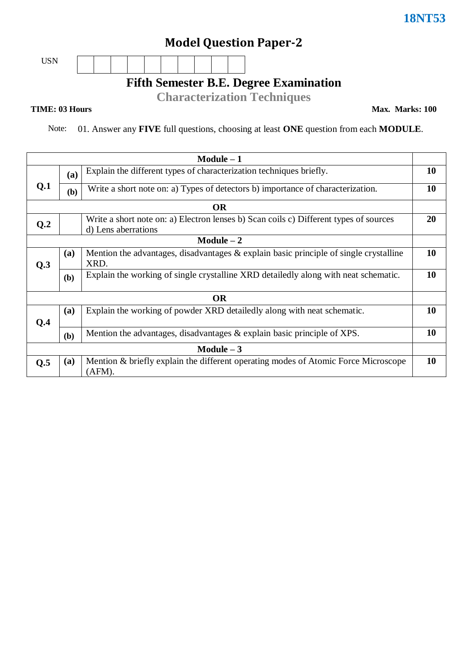# **Model Question Paper-2**

USN

**Fifth Semester B.E. Degree Examination**

**Characterization Techniques**

#### **TIME: 03 Hours**

**Max. Marks: 100**

Note: 01. Answer any **FIVE** full questions, choosing at least **ONE** question from each **MODULE**.

|             |     | Module $-1$                                                                                                  |           |  |  |
|-------------|-----|--------------------------------------------------------------------------------------------------------------|-----------|--|--|
|             | (a) | Explain the different types of characterization techniques briefly.                                          |           |  |  |
| Q.1         | (b) | Write a short note on: a) Types of detectors b) importance of characterization.                              |           |  |  |
|             |     | <b>OR</b>                                                                                                    |           |  |  |
| Q.2         |     | Write a short note on: a) Electron lenses b) Scan coils c) Different types of sources<br>d) Lens aberrations | <b>20</b> |  |  |
|             |     | $Module - 2$                                                                                                 |           |  |  |
| Q.3         | (a) | Mention the advantages, disadvantages $\&$ explain basic principle of single crystalline<br>XRD.             | 10        |  |  |
|             | (b) | Explain the working of single crystalline XRD detailedly along with neat schematic.                          | 10        |  |  |
|             |     | <b>OR</b>                                                                                                    |           |  |  |
| Q.4         | (a) | Explain the working of powder XRD detailedly along with neat schematic.                                      | 10        |  |  |
|             | (b) | Mention the advantages, disadvantages & explain basic principle of XPS.                                      | 10        |  |  |
| Module $-3$ |     |                                                                                                              |           |  |  |
| Q.5         | (a) | Mention & briefly explain the different operating modes of Atomic Force Microscope<br>(AFM).                 | 10        |  |  |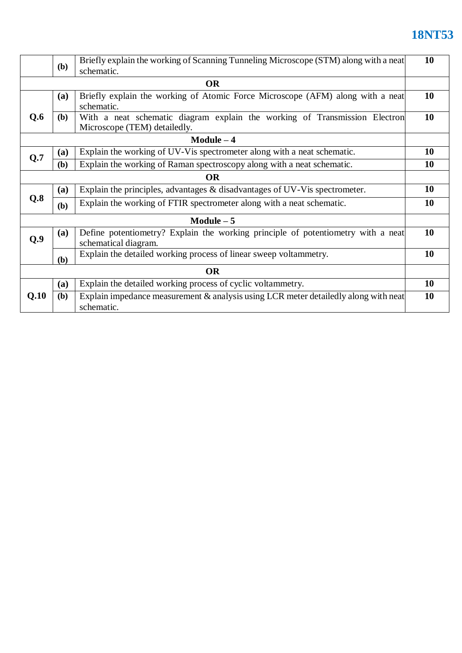|              |              | Briefly explain the working of Scanning Tunneling Microscope (STM) along with a neat                       |    |  |  |
|--------------|--------------|------------------------------------------------------------------------------------------------------------|----|--|--|
| ( <b>b</b> ) |              | schematic.                                                                                                 |    |  |  |
|              | <b>OR</b>    |                                                                                                            |    |  |  |
|              | (a)          | Briefly explain the working of Atomic Force Microscope (AFM) along with a neat<br>schematic.               | 10 |  |  |
| Q.6          | (b)          | With a neat schematic diagram explain the working of Transmission Electron<br>Microscope (TEM) detailedly. | 10 |  |  |
|              | $Module - 4$ |                                                                                                            |    |  |  |
| Q.7          | (a)          | Explain the working of UV-V is spectrometer along with a neat schematic.                                   | 10 |  |  |
|              | (b)          | Explain the working of Raman spectroscopy along with a neat schematic.                                     | 10 |  |  |
|              | <b>OR</b>    |                                                                                                            |    |  |  |
|              | (a)          | Explain the principles, advantages & disadvantages of UV-V is spectrometer.                                | 10 |  |  |
| Q.8          | (b)          | Explain the working of FTIR spectrometer along with a neat schematic.                                      | 10 |  |  |
|              |              | $Module - 5$                                                                                               |    |  |  |
| Q.9          | (a)          | Define potentiometry? Explain the working principle of potentiometry with a neat<br>schematical diagram.   | 10 |  |  |
|              | (b)          | Explain the detailed working process of linear sweep voltammetry.                                          | 10 |  |  |
| <b>OR</b>    |              |                                                                                                            |    |  |  |
|              | (a)          | Explain the detailed working process of cyclic voltammetry.                                                | 10 |  |  |
| Q.10         | <b>(b)</b>   | Explain impedance measurement $\&$ analysis using LCR meter detailedly along with neat<br>schematic.       | 10 |  |  |